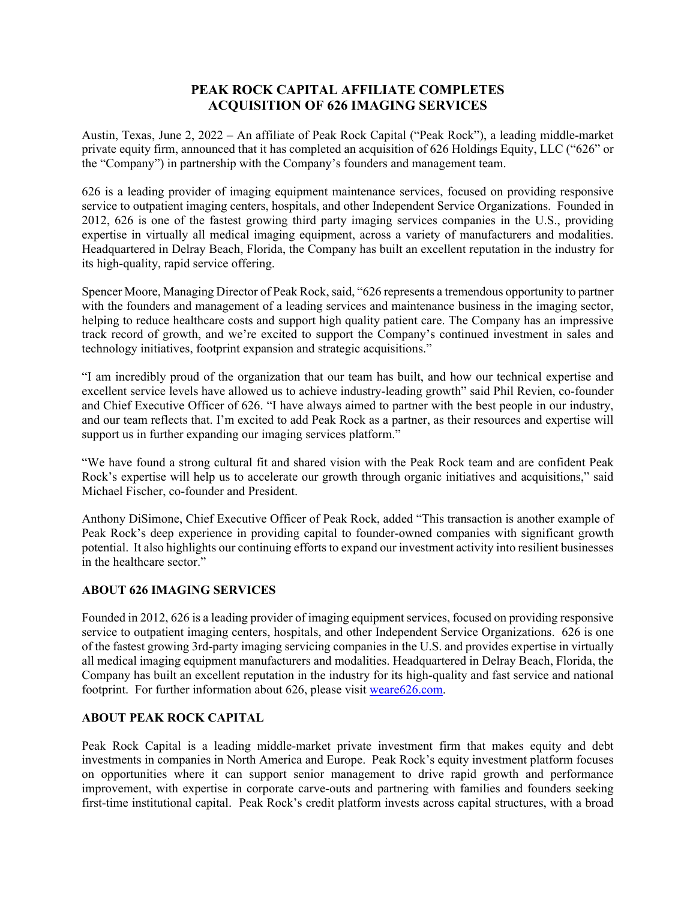## **PEAK ROCK CAPITAL AFFILIATE COMPLETES ACQUISITION OF 626 IMAGING SERVICES**

Austin, Texas, June 2, 2022 – An affiliate of Peak Rock Capital ("Peak Rock"), a leading middle-market private equity firm, announced that it has completed an acquisition of 626 Holdings Equity, LLC ("626" or the "Company") in partnership with the Company's founders and management team.

626 is a leading provider of imaging equipment maintenance services, focused on providing responsive service to outpatient imaging centers, hospitals, and other Independent Service Organizations. Founded in 2012, 626 is one of the fastest growing third party imaging services companies in the U.S., providing expertise in virtually all medical imaging equipment, across a variety of manufacturers and modalities. Headquartered in Delray Beach, Florida, the Company has built an excellent reputation in the industry for its high-quality, rapid service offering.

Spencer Moore, Managing Director of Peak Rock, said, "626 represents a tremendous opportunity to partner with the founders and management of a leading services and maintenance business in the imaging sector, helping to reduce healthcare costs and support high quality patient care. The Company has an impressive track record of growth, and we're excited to support the Company's continued investment in sales and technology initiatives, footprint expansion and strategic acquisitions."

"I am incredibly proud of the organization that our team has built, and how our technical expertise and excellent service levels have allowed us to achieve industry-leading growth" said Phil Revien, co-founder and Chief Executive Officer of 626. "I have always aimed to partner with the best people in our industry, and our team reflects that. I'm excited to add Peak Rock as a partner, as their resources and expertise will support us in further expanding our imaging services platform."

"We have found a strong cultural fit and shared vision with the Peak Rock team and are confident Peak Rock's expertise will help us to accelerate our growth through organic initiatives and acquisitions," said Michael Fischer, co-founder and President.

Anthony DiSimone, Chief Executive Officer of Peak Rock, added "This transaction is another example of Peak Rock's deep experience in providing capital to founder-owned companies with significant growth potential. It also highlights our continuing efforts to expand our investment activity into resilient businesses in the healthcare sector."

## **ABOUT 626 IMAGING SERVICES**

Founded in 2012, 626 is a leading provider of imaging equipment services, focused on providing responsive service to outpatient imaging centers, hospitals, and other Independent Service Organizations. 626 is one of the fastest growing 3rd-party imaging servicing companies in the U.S. and provides expertise in virtually all medical imaging equipment manufacturers and modalities. Headquartered in Delray Beach, Florida, the Company has built an excellent reputation in the industry for its high-quality and fast service and national footprint. For further information about 626, please visit weare626.com.

## **ABOUT PEAK ROCK CAPITAL**

Peak Rock Capital is a leading middle-market private investment firm that makes equity and debt investments in companies in North America and Europe. Peak Rock's equity investment platform focuses on opportunities where it can support senior management to drive rapid growth and performance improvement, with expertise in corporate carve-outs and partnering with families and founders seeking first-time institutional capital. Peak Rock's credit platform invests across capital structures, with a broad